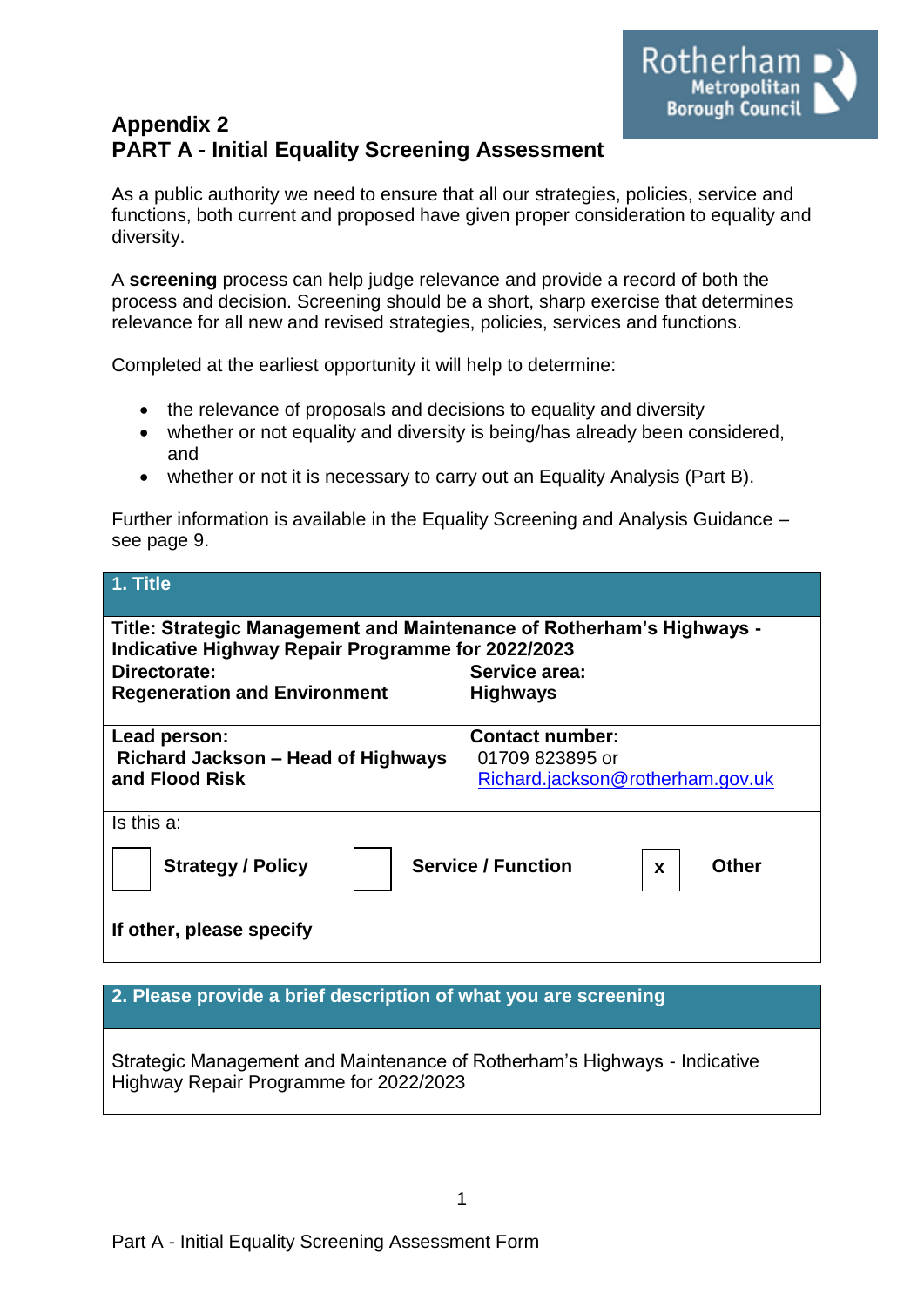

# **Appendix 2 PART A - Initial Equality Screening Assessment**

As a public authority we need to ensure that all our strategies, policies, service and functions, both current and proposed have given proper consideration to equality and diversity.

A **screening** process can help judge relevance and provide a record of both the process and decision. Screening should be a short, sharp exercise that determines relevance for all new and revised strategies, policies, services and functions.

Completed at the earliest opportunity it will help to determine:

- the relevance of proposals and decisions to equality and diversity
- whether or not equality and diversity is being/has already been considered, and
- whether or not it is necessary to carry out an Equality Analysis (Part B).

Further information is available in the Equality Screening and Analysis Guidance – see page 9.

| 1. Title                                                                                                                   |                                                     |  |  |  |
|----------------------------------------------------------------------------------------------------------------------------|-----------------------------------------------------|--|--|--|
| Title: Strategic Management and Maintenance of Rotherham's Highways -<br>Indicative Highway Repair Programme for 2022/2023 |                                                     |  |  |  |
| Directorate:<br><b>Regeneration and Environment</b>                                                                        | Service area:<br><b>Highways</b>                    |  |  |  |
|                                                                                                                            | <b>Contact number:</b>                              |  |  |  |
| Lead person:<br>Richard Jackson – Head of Highways<br>and Flood Risk                                                       | 01709 823895 or<br>Richard.jackson@rotherham.gov.uk |  |  |  |
| Is this a:                                                                                                                 |                                                     |  |  |  |
| <b>Service / Function</b><br><b>Strategy / Policy</b><br><b>Other</b><br>$\mathbf x$                                       |                                                     |  |  |  |
| If other, please specify                                                                                                   |                                                     |  |  |  |

**2. Please provide a brief description of what you are screening**

Strategic Management and Maintenance of Rotherham's Highways - Indicative Highway Repair Programme for 2022/2023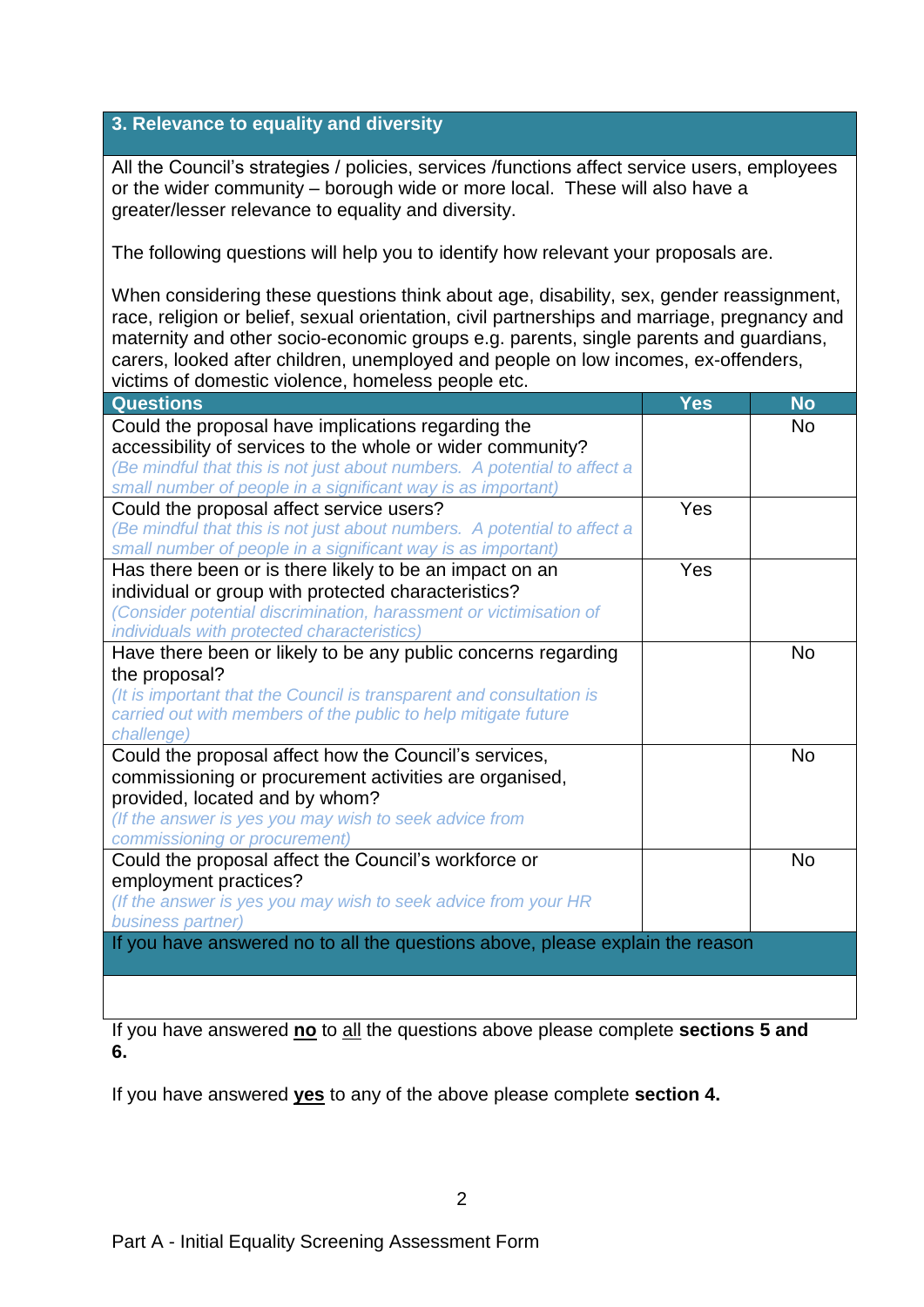## **3. Relevance to equality and diversity**

All the Council's strategies / policies, services /functions affect service users, employees or the wider community – borough wide or more local. These will also have a greater/lesser relevance to equality and diversity.

The following questions will help you to identify how relevant your proposals are.

When considering these questions think about age, disability, sex, gender reassignment, race, religion or belief, sexual orientation, civil partnerships and marriage, pregnancy and maternity and other socio-economic groups e.g. parents, single parents and guardians, carers, looked after children, unemployed and people on low incomes, ex-offenders, victims of domestic violence, homeless people etc.

| <b>Questions</b>                                                              | Yes | <b>No</b> |
|-------------------------------------------------------------------------------|-----|-----------|
| Could the proposal have implications regarding the                            |     | <b>No</b> |
| accessibility of services to the whole or wider community?                    |     |           |
| (Be mindful that this is not just about numbers. A potential to affect a      |     |           |
| small number of people in a significant way is as important)                  |     |           |
| Could the proposal affect service users?                                      | Yes |           |
| (Be mindful that this is not just about numbers. A potential to affect a      |     |           |
| small number of people in a significant way is as important)                  |     |           |
| Has there been or is there likely to be an impact on an                       | Yes |           |
| individual or group with protected characteristics?                           |     |           |
| (Consider potential discrimination, harassment or victimisation of            |     |           |
| individuals with protected characteristics)                                   |     |           |
| Have there been or likely to be any public concerns regarding                 |     | <b>No</b> |
| the proposal?                                                                 |     |           |
| (It is important that the Council is transparent and consultation is          |     |           |
| carried out with members of the public to help mitigate future                |     |           |
| challenge)                                                                    |     |           |
| Could the proposal affect how the Council's services,                         |     | <b>No</b> |
| commissioning or procurement activities are organised,                        |     |           |
| provided, located and by whom?                                                |     |           |
| (If the answer is yes you may wish to seek advice from                        |     |           |
| commissioning or procurement)                                                 |     |           |
| Could the proposal affect the Council's workforce or                          |     | <b>No</b> |
| employment practices?                                                         |     |           |
| (If the answer is yes you may wish to seek advice from your HR                |     |           |
| business partner)                                                             |     |           |
| If you have answered no to all the questions above, please explain the reason |     |           |
|                                                                               |     |           |
|                                                                               |     |           |

If you have answered **no** to all the questions above please complete **sections 5 and 6.**

If you have answered **yes** to any of the above please complete **section 4.**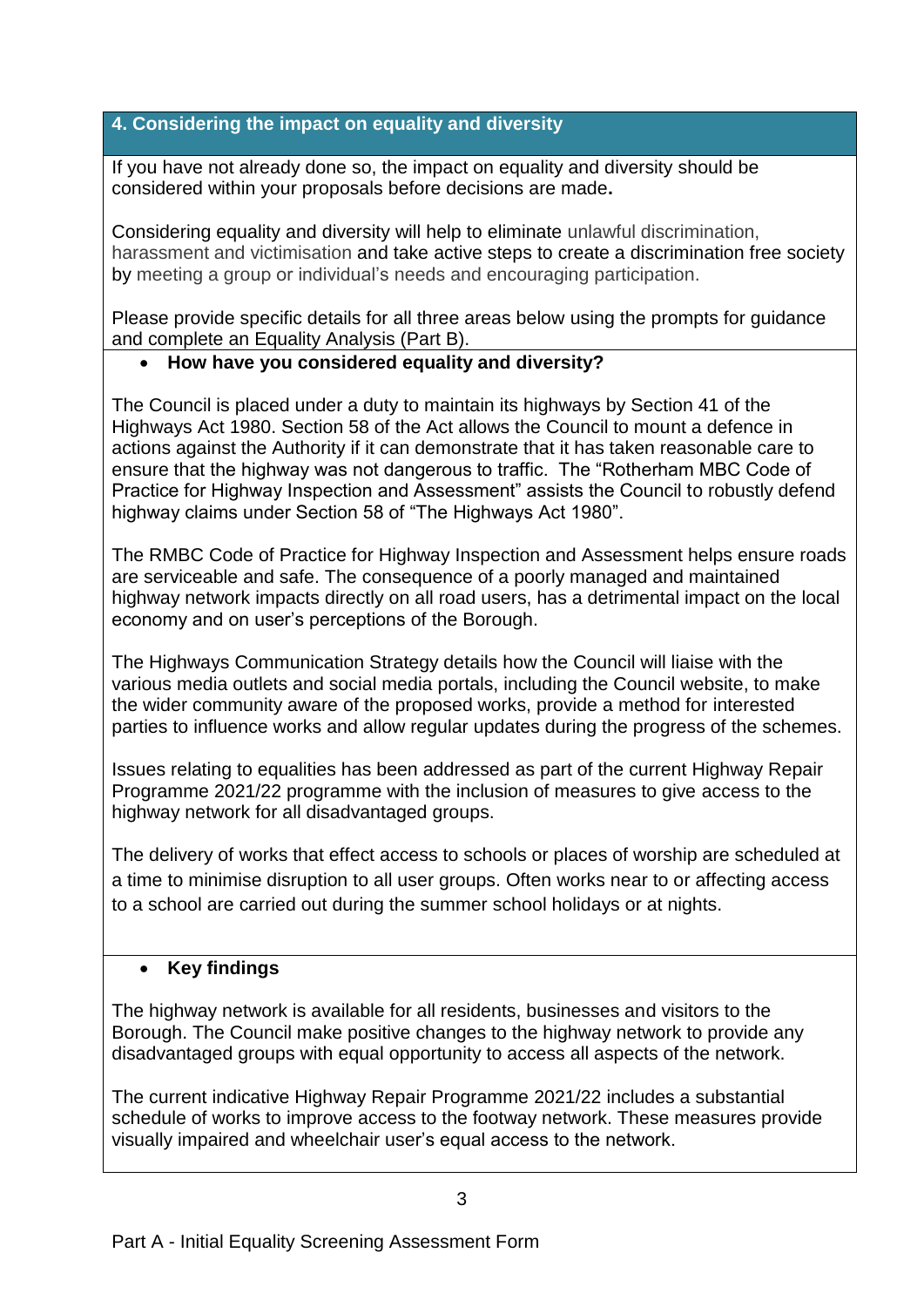# **4. Considering the impact on equality and diversity**

If you have not already done so, the impact on equality and diversity should be considered within your proposals before decisions are made**.**

Considering equality and diversity will help to eliminate unlawful discrimination, harassment and victimisation and take active steps to create a discrimination free society by meeting a group or individual's needs and encouraging participation.

Please provide specific details for all three areas below using the prompts for guidance and complete an Equality Analysis (Part B).

# **How have you considered equality and diversity?**

The Council is placed under a duty to maintain its highways by Section 41 of the Highways Act 1980. Section 58 of the Act allows the Council to mount a defence in actions against the Authority if it can demonstrate that it has taken reasonable care to ensure that the highway was not dangerous to traffic. The "Rotherham MBC Code of Practice for Highway Inspection and Assessment" assists the Council to robustly defend highway claims under Section 58 of "The Highways Act 1980".

The RMBC Code of Practice for Highway Inspection and Assessment helps ensure roads are serviceable and safe. The consequence of a poorly managed and maintained highway network impacts directly on all road users, has a detrimental impact on the local economy and on user's perceptions of the Borough.

The Highways Communication Strategy details how the Council will liaise with the various media outlets and social media portals, including the Council website, to make the wider community aware of the proposed works, provide a method for interested parties to influence works and allow regular updates during the progress of the schemes.

Issues relating to equalities has been addressed as part of the current Highway Repair Programme 2021/22 programme with the inclusion of measures to give access to the highway network for all disadvantaged groups.

The delivery of works that effect access to schools or places of worship are scheduled at a time to minimise disruption to all user groups. Often works near to or affecting access to a school are carried out during the summer school holidays or at nights.

## **Key findings**

The highway network is available for all residents, businesses and visitors to the Borough. The Council make positive changes to the highway network to provide any disadvantaged groups with equal opportunity to access all aspects of the network.

The current indicative Highway Repair Programme 2021/22 includes a substantial schedule of works to improve access to the footway network. These measures provide visually impaired and wheelchair user's equal access to the network.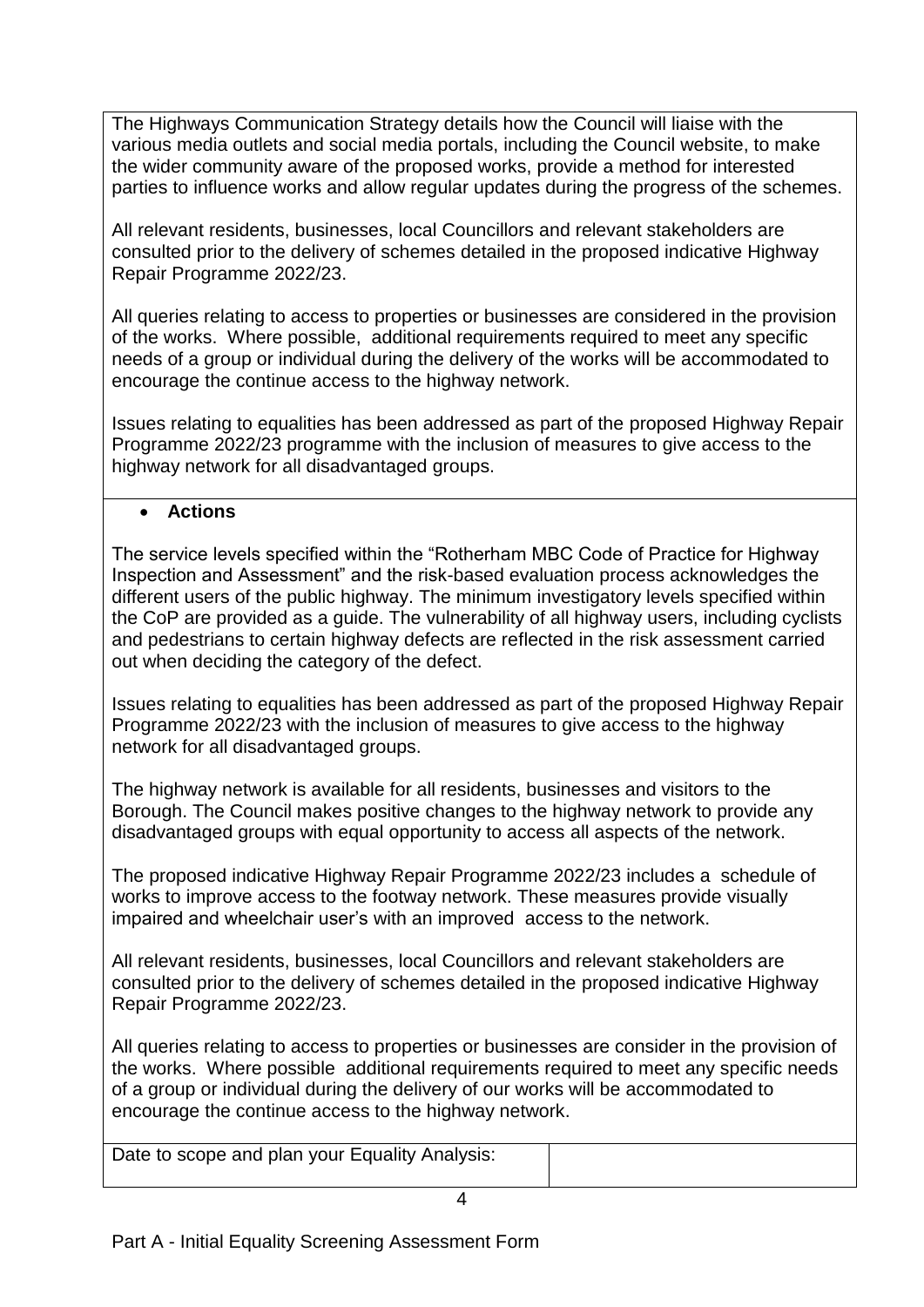The Highways Communication Strategy details how the Council will liaise with the various media outlets and social media portals, including the Council website, to make the wider community aware of the proposed works, provide a method for interested parties to influence works and allow regular updates during the progress of the schemes.

All relevant residents, businesses, local Councillors and relevant stakeholders are consulted prior to the delivery of schemes detailed in the proposed indicative Highway Repair Programme 2022/23.

All queries relating to access to properties or businesses are considered in the provision of the works. Where possible, additional requirements required to meet any specific needs of a group or individual during the delivery of the works will be accommodated to encourage the continue access to the highway network.

Issues relating to equalities has been addressed as part of the proposed Highway Repair Programme 2022/23 programme with the inclusion of measures to give access to the highway network for all disadvantaged groups.

#### **Actions**

The service levels specified within the "Rotherham MBC Code of Practice for Highway Inspection and Assessment" and the risk-based evaluation process acknowledges the different users of the public highway. The minimum investigatory levels specified within the CoP are provided as a guide. The vulnerability of all highway users, including cyclists and pedestrians to certain highway defects are reflected in the risk assessment carried out when deciding the category of the defect.

Issues relating to equalities has been addressed as part of the proposed Highway Repair Programme 2022/23 with the inclusion of measures to give access to the highway network for all disadvantaged groups.

The highway network is available for all residents, businesses and visitors to the Borough. The Council makes positive changes to the highway network to provide any disadvantaged groups with equal opportunity to access all aspects of the network.

The proposed indicative Highway Repair Programme 2022/23 includes a schedule of works to improve access to the footway network. These measures provide visually impaired and wheelchair user's with an improved access to the network.

All relevant residents, businesses, local Councillors and relevant stakeholders are consulted prior to the delivery of schemes detailed in the proposed indicative Highway Repair Programme 2022/23.

All queries relating to access to properties or businesses are consider in the provision of the works. Where possible additional requirements required to meet any specific needs of a group or individual during the delivery of our works will be accommodated to encourage the continue access to the highway network.

Date to scope and plan your Equality Analysis: